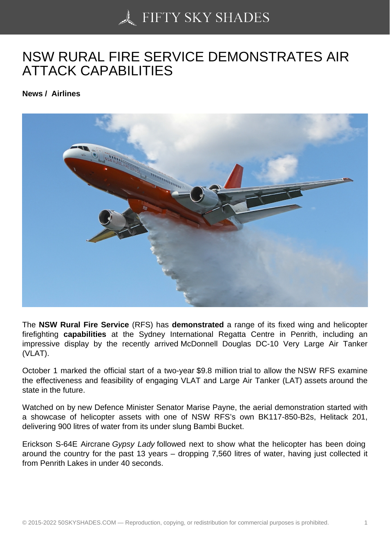## [NSW RURAL FIRE SE](https://50skyshades.com)RVICE DEMONSTRATES AIR ATTACK CAPABILITIES

News / Airlines

The NSW Rural Fire Service (RFS) has demonstrated a range of its fixed wing and helicopter firefighting capabilities at the Sydney International Regatta Centre in Penrith, including an impressive display by the recently arrived McDonnell Douglas DC-10 Very Large Air Tanker (VLAT).

October 1 marked the official start of a two-year \$9.8 million trial to allow the NSW RFS examine the effectiveness and feasibility of engaging VLAT and Large Air Tanker (LAT) assets around the state in the future.

Watched on by new Defence Minister Senator Marise Payne, the aerial demonstration started with a showcase of helicopter assets with one of NSW RFS's own BK117-850-B2s, Helitack 201, delivering 900 litres of water from its under slung Bambi Bucket.

Erickson S-64E Aircrane Gypsy Lady followed next to show what the helicopter has been doing around the country for the past 13 years – dropping 7,560 litres of water, having just collected it from Penrith Lakes in under 40 seconds.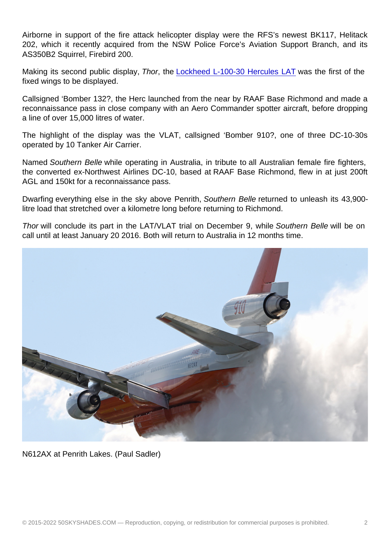Airborne in support of the fire attack helicopter display were the RFS's newest BK117, Helitack 202, which it recently acquired from the NSW Police Force's Aviation Support Branch, and its AS350B2 Squirrel, Firebird 200.

Making its second public display, Thor, the Lockheed L-100-30 Hercules LAT was the first of the fixed wings to be displayed.

Callsigned 'Bomber 132?, the Herc launched from the near by RAAF Base Richmond and made a reconnaissance pass in close company wit[h an Aero Commander spotter aircr](http://australianaviation.com.au/2015/09/hercules-firefighting-tanker-begins-contract-with-nsw-rural-fire-service/)aft, before dropping a line of over 15,000 litres of water.

The highlight of the display was the VLAT, callsigned 'Bomber 910?, one of three DC-10-30s operated by 10 Tanker Air Carrier.

Named Southern Belle while operating in Australia, in tribute to all Australian female fire fighters, the converted ex-Northwest Airlines DC-10, based at RAAF Base Richmond, flew in at just 200ft AGL and 150kt for a reconnaissance pass.

Dwarfing everything else in the sky above Penrith, Southern Belle returned to unleash its 43,900 litre load that stretched over a kilometre long before returning to Richmond.

Thor will conclude its part in the LAT/VLAT trial on December 9, while Southern Belle will be on call until at least January 20 2016. Both will return to Australia in 12 months time.

[N612AX at Penrith Lakes. \(Paul Sadler\)](http://australianaviation.com.au/wp-content/uploads/2015/10/McDonnellDouglas_DC-10_VLAT_N612AX_01Oct2015_PAUL-SADLER_2.jpg)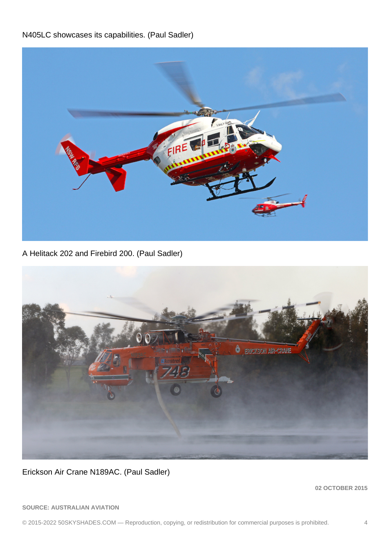N405LC showcases its capabilities. (Paul Sadler)

[A Helitack 202 and Firebird 200. \(Paul Sadler\)](http://australianaviation.com.au/wp-content/uploads/2015/10/Helitack_202_Firebird_200_01Oct2015_PAUL-SADLER.jpg)

[Erickson Air Crane N189AC. \(Paul Sadler\)](http://australianaviation.com.au/wp-content/uploads/2015/10/Erickson_Air-Crane_N189AC_01OOct2015_PAUL-SADLER.jpg)

02 OCTOBER 2015

SOURCE: AUSTRALIAN AVIATION